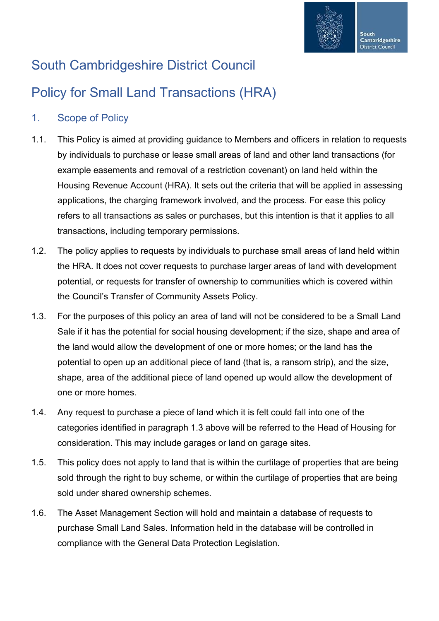

# South Cambridgeshire District Council

# Policy for Small Land Transactions (HRA)

### 1. Scope of Policy

- 1.1. This Policy is aimed at providing guidance to Members and officers in relation to requests by individuals to purchase or lease small areas of land and other land transactions (for example easements and removal of a restriction covenant) on land held within the Housing Revenue Account (HRA). It sets out the criteria that will be applied in assessing applications, the charging framework involved, and the process. For ease this policy refers to all transactions as sales or purchases, but this intention is that it applies to all transactions, including temporary permissions.
- 1.2. The policy applies to requests by individuals to purchase small areas of land held within the HRA. It does not cover requests to purchase larger areas of land with development potential, or requests for transfer of ownership to communities which is covered within the Council's Transfer of Community Assets Policy.
- 1.3. For the purposes of this policy an area of land will not be considered to be a Small Land Sale if it has the potential for social housing development; if the size, shape and area of the land would allow the development of one or more homes; or the land has the potential to open up an additional piece of land (that is, a ransom strip), and the size, shape, area of the additional piece of land opened up would allow the development of one or more homes.
- 1.4. Any request to purchase a piece of land which it is felt could fall into one of the categories identified in paragraph 1.3 above will be referred to the Head of Housing for consideration. This may include garages or land on garage sites.
- 1.5. This policy does not apply to land that is within the curtilage of properties that are being sold through the right to buy scheme, or within the curtilage of properties that are being sold under shared ownership schemes.
- 1.6. The Asset Management Section will hold and maintain a database of requests to purchase Small Land Sales. Information held in the database will be controlled in compliance with the General Data Protection Legislation.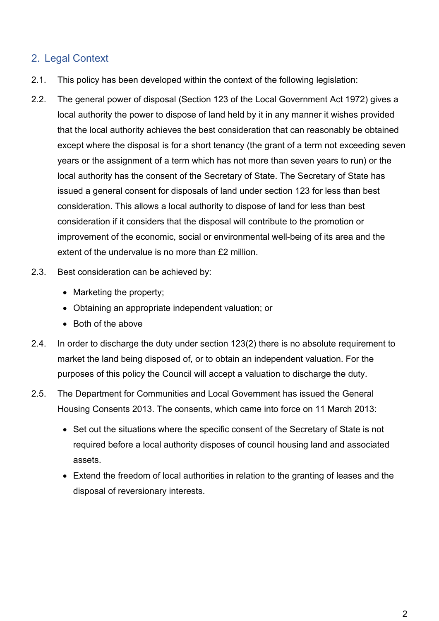#### 2. Legal Context

- 2.1. This policy has been developed within the context of the following legislation:
- 2.2. The general power of disposal (Section 123 of the Local Government Act 1972) gives a local authority the power to dispose of land held by it in any manner it wishes provided that the local authority achieves the best consideration that can reasonably be obtained except where the disposal is for a short tenancy (the grant of a term not exceeding seven years or the assignment of a term which has not more than seven years to run) or the local authority has the consent of the Secretary of State. The Secretary of State has issued a general consent for disposals of land under section 123 for less than best consideration. This allows a local authority to dispose of land for less than best consideration if it considers that the disposal will contribute to the promotion or improvement of the economic, social or environmental well-being of its area and the extent of the undervalue is no more than £2 million.
- 2.3. Best consideration can be achieved by:
	- Marketing the property;
	- Obtaining an appropriate independent valuation; or
	- Both of the above
- 2.4. In order to discharge the duty under section 123(2) there is no absolute requirement to market the land being disposed of, or to obtain an independent valuation. For the purposes of this policy the Council will accept a valuation to discharge the duty.
- 2.5. The Department for Communities and Local Government has issued the General Housing Consents 2013. The consents, which came into force on 11 March 2013:
	- Set out the situations where the specific consent of the Secretary of State is not required before a local authority disposes of council housing land and associated assets.
	- Extend the freedom of local authorities in relation to the granting of leases and the disposal of reversionary interests.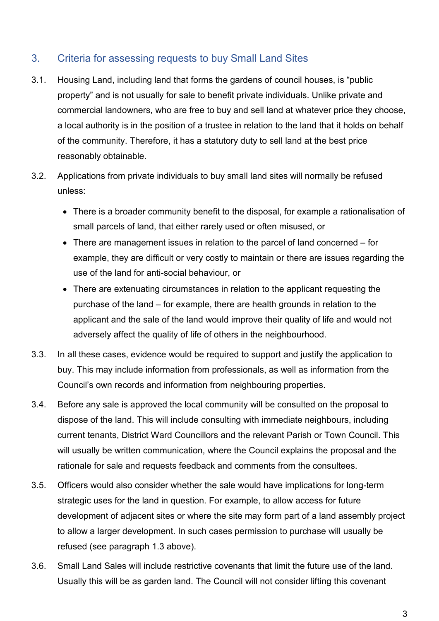#### 3. Criteria for assessing requests to buy Small Land Sites

- 3.1. Housing Land, including land that forms the gardens of council houses, is "public property" and is not usually for sale to benefit private individuals. Unlike private and commercial landowners, who are free to buy and sell land at whatever price they choose, a local authority is in the position of a trustee in relation to the land that it holds on behalf of the community. Therefore, it has a statutory duty to sell land at the best price reasonably obtainable.
- 3.2. Applications from private individuals to buy small land sites will normally be refused unless:
	- There is a broader community benefit to the disposal, for example a rationalisation of small parcels of land, that either rarely used or often misused, or
	- There are management issues in relation to the parcel of land concerned for example, they are difficult or very costly to maintain or there are issues regarding the use of the land for anti-social behaviour, or
	- There are extenuating circumstances in relation to the applicant requesting the purchase of the land – for example, there are health grounds in relation to the applicant and the sale of the land would improve their quality of life and would not adversely affect the quality of life of others in the neighbourhood.
- 3.3. In all these cases, evidence would be required to support and justify the application to buy. This may include information from professionals, as well as information from the Council's own records and information from neighbouring properties.
- 3.4. Before any sale is approved the local community will be consulted on the proposal to dispose of the land. This will include consulting with immediate neighbours, including current tenants, District Ward Councillors and the relevant Parish or Town Council. This will usually be written communication, where the Council explains the proposal and the rationale for sale and requests feedback and comments from the consultees.
- 3.5. Officers would also consider whether the sale would have implications for long-term strategic uses for the land in question. For example, to allow access for future development of adjacent sites or where the site may form part of a land assembly project to allow a larger development. In such cases permission to purchase will usually be refused (see paragraph 1.3 above).
- 3.6. Small Land Sales will include restrictive covenants that limit the future use of the land. Usually this will be as garden land. The Council will not consider lifting this covenant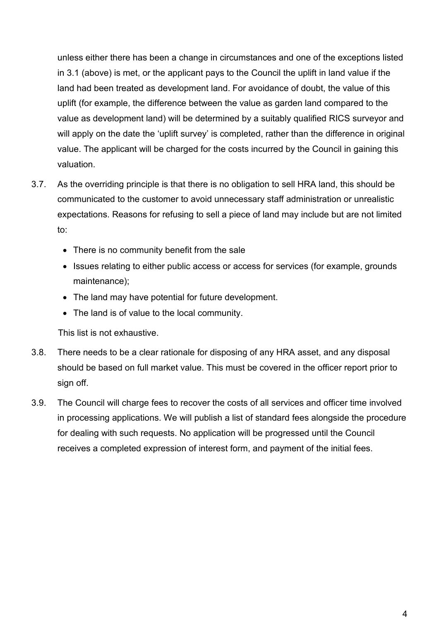unless either there has been a change in circumstances and one of the exceptions listed in 3.1 (above) is met, or the applicant pays to the Council the uplift in land value if the land had been treated as development land. For avoidance of doubt, the value of this uplift (for example, the difference between the value as garden land compared to the value as development land) will be determined by a suitably qualified RICS surveyor and will apply on the date the 'uplift survey' is completed, rather than the difference in original value. The applicant will be charged for the costs incurred by the Council in gaining this valuation.

- 3.7. As the overriding principle is that there is no obligation to sell HRA land, this should be communicated to the customer to avoid unnecessary staff administration or unrealistic expectations. Reasons for refusing to sell a piece of land may include but are not limited to:
	- There is no community benefit from the sale
	- Issues relating to either public access or access for services (for example, grounds maintenance);
	- The land may have potential for future development.
	- The land is of value to the local community.

This list is not exhaustive.

- 3.8. There needs to be a clear rationale for disposing of any HRA asset, and any disposal should be based on full market value. This must be covered in the officer report prior to sign off.
- 3.9. The Council will charge fees to recover the costs of all services and officer time involved in processing applications. We will publish a list of standard fees alongside the procedure for dealing with such requests. No application will be progressed until the Council receives a completed expression of interest form, and payment of the initial fees.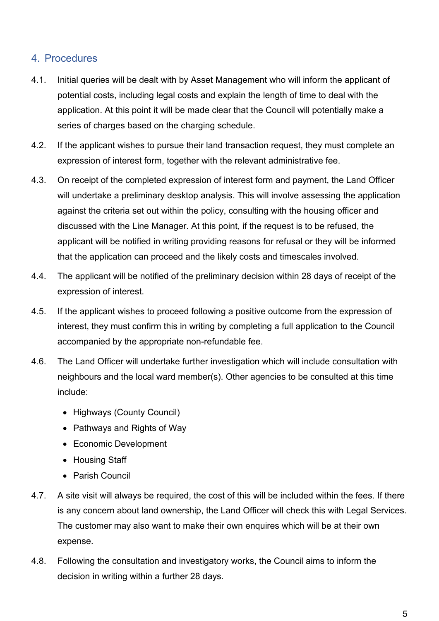#### 4. Procedures

- 4.1. Initial queries will be dealt with by Asset Management who will inform the applicant of potential costs, including legal costs and explain the length of time to deal with the application. At this point it will be made clear that the Council will potentially make a series of charges based on the charging schedule.
- 4.2. If the applicant wishes to pursue their land transaction request, they must complete an expression of interest form, together with the relevant administrative fee.
- 4.3. On receipt of the completed expression of interest form and payment, the Land Officer will undertake a preliminary desktop analysis. This will involve assessing the application against the criteria set out within the policy, consulting with the housing officer and discussed with the Line Manager. At this point, if the request is to be refused, the applicant will be notified in writing providing reasons for refusal or they will be informed that the application can proceed and the likely costs and timescales involved.
- 4.4. The applicant will be notified of the preliminary decision within 28 days of receipt of the expression of interest.
- 4.5. If the applicant wishes to proceed following a positive outcome from the expression of interest, they must confirm this in writing by completing a full application to the Council accompanied by the appropriate non-refundable fee.
- 4.6. The Land Officer will undertake further investigation which will include consultation with neighbours and the local ward member(s). Other agencies to be consulted at this time include:
	- Highways (County Council)
	- Pathways and Rights of Way
	- Economic Development
	- Housing Staff
	- Parish Council
- 4.7. A site visit will always be required, the cost of this will be included within the fees. If there is any concern about land ownership, the Land Officer will check this with Legal Services. The customer may also want to make their own enquires which will be at their own expense.
- 4.8. Following the consultation and investigatory works, the Council aims to inform the decision in writing within a further 28 days.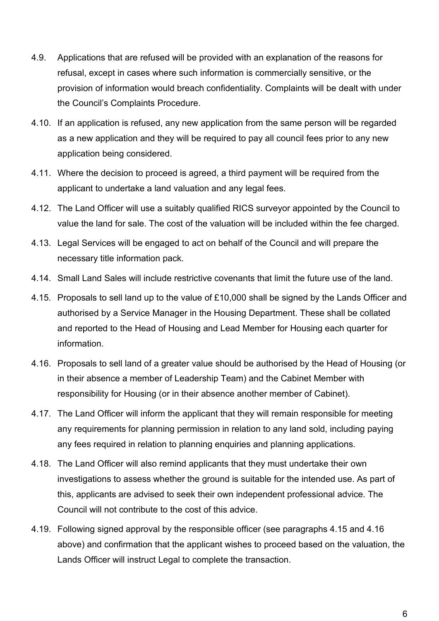- 4.9. Applications that are refused will be provided with an explanation of the reasons for refusal, except in cases where such information is commercially sensitive, or the provision of information would breach confidentiality. Complaints will be dealt with under the Council's Complaints Procedure.
- 4.10. If an application is refused, any new application from the same person will be regarded as a new application and they will be required to pay all council fees prior to any new application being considered.
- 4.11. Where the decision to proceed is agreed, a third payment will be required from the applicant to undertake a land valuation and any legal fees.
- 4.12. The Land Officer will use a suitably qualified RICS surveyor appointed by the Council to value the land for sale. The cost of the valuation will be included within the fee charged.
- 4.13. Legal Services will be engaged to act on behalf of the Council and will prepare the necessary title information pack.
- 4.14. Small Land Sales will include restrictive covenants that limit the future use of the land.
- 4.15. Proposals to sell land up to the value of £10,000 shall be signed by the Lands Officer and authorised by a Service Manager in the Housing Department. These shall be collated and reported to the Head of Housing and Lead Member for Housing each quarter for information.
- 4.16. Proposals to sell land of a greater value should be authorised by the Head of Housing (or in their absence a member of Leadership Team) and the Cabinet Member with responsibility for Housing (or in their absence another member of Cabinet).
- 4.17. The Land Officer will inform the applicant that they will remain responsible for meeting any requirements for planning permission in relation to any land sold, including paying any fees required in relation to planning enquiries and planning applications.
- 4.18. The Land Officer will also remind applicants that they must undertake their own investigations to assess whether the ground is suitable for the intended use. As part of this, applicants are advised to seek their own independent professional advice. The Council will not contribute to the cost of this advice.
- 4.19. Following signed approval by the responsible officer (see paragraphs 4.15 and 4.16 above) and confirmation that the applicant wishes to proceed based on the valuation, the Lands Officer will instruct Legal to complete the transaction.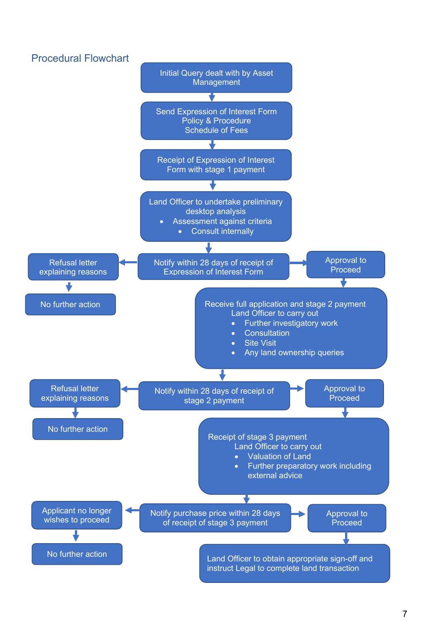